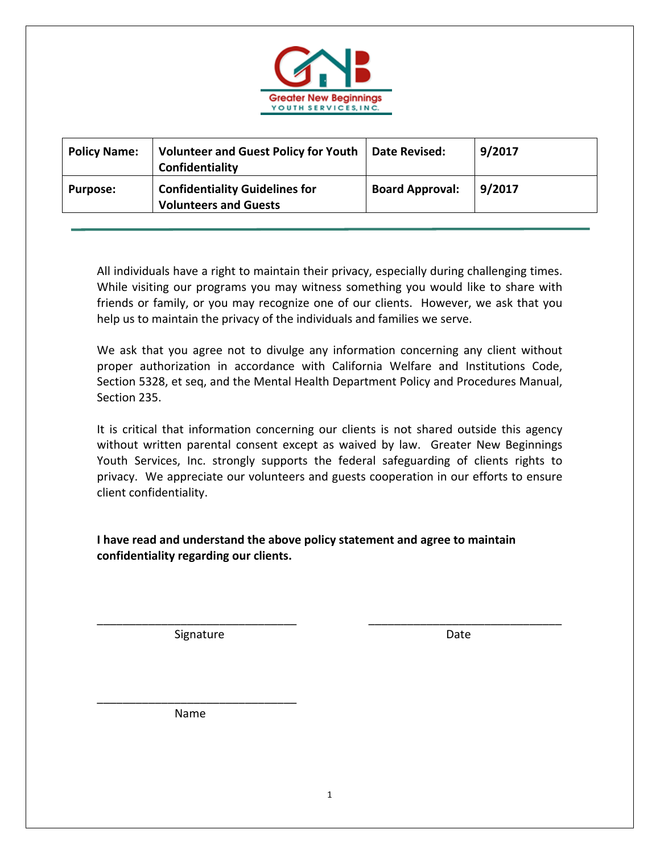

| <b>Policy Name:</b> | Volunteer and Guest Policy for Youth   Date Revised:<br>Confidentiality |                        | 9/2017 |
|---------------------|-------------------------------------------------------------------------|------------------------|--------|
| <b>Purpose:</b>     | <b>Confidentiality Guidelines for</b><br><b>Volunteers and Guests</b>   | <b>Board Approval:</b> | 9/2017 |

All individuals have a right to maintain their privacy, especially during challenging times. While visiting our programs you may witness something you would like to share with friends or family, or you may recognize one of our clients. However, we ask that you help us to maintain the privacy of the individuals and families we serve.

We ask that you agree not to divulge any information concerning any client without proper authorization in accordance with California Welfare and Institutions Code, Section 5328, et seq, and the Mental Health Department Policy and Procedures Manual, Section 235.

It is critical that information concerning our clients is not shared outside this agency without written parental consent except as waived by law. Greater New Beginnings Youth Services, Inc. strongly supports the federal safeguarding of clients rights to privacy. We appreciate our volunteers and guests cooperation in our efforts to ensure client confidentiality.

\_\_\_\_\_\_\_\_\_\_\_\_\_\_\_\_\_\_\_\_\_\_\_\_\_\_\_\_\_\_\_ \_\_\_\_\_\_\_\_\_\_\_\_\_\_\_\_\_\_\_\_\_\_\_\_\_\_\_\_\_\_

**I have read and understand the above policy statement and agree to maintain confidentiality regarding our clients.** 

Signature **Date** 

Name

\_\_\_\_\_\_\_\_\_\_\_\_\_\_\_\_\_\_\_\_\_\_\_\_\_\_\_\_\_\_\_